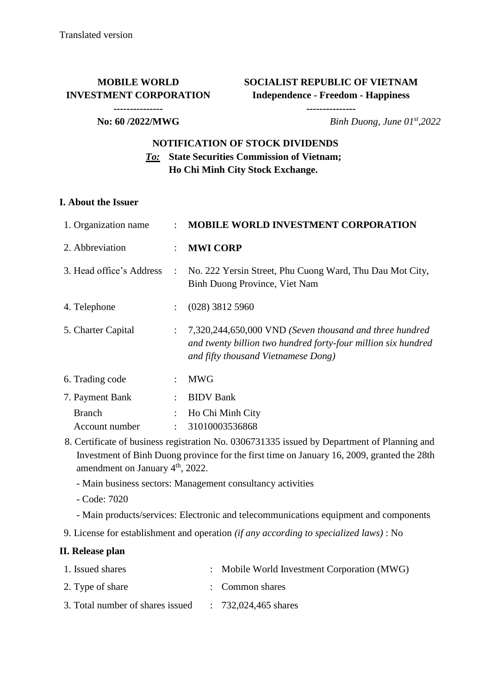## **MOBILE WORLD INVESTMENT CORPORATION**

**SOCIALIST REPUBLIC OF VIETNAM Independence - Freedom - Happiness**

**---------------**

#### **---------------**

**No: 60 /2022/MWG** *Binh Duong, June 01<sup>st</sup>,2022* 

## **NOTIFICATION OF STOCK DIVIDENDS** *To:* **State Securities Commission of Vietnam; Ho Chi Minh City Stock Exchange.**

#### **I. About the Issuer**

| 1. Organization name     | $\mathcal{L}$             | <b>MOBILE WORLD INVESTMENT CORPORATION</b>                                                                                                                      |
|--------------------------|---------------------------|-----------------------------------------------------------------------------------------------------------------------------------------------------------------|
| 2. Abbreviation          |                           | <b>MWI CORP</b>                                                                                                                                                 |
| 3. Head office's Address | $\mathbb{R}^{\mathbb{Z}}$ | No. 222 Yersin Street, Phu Cuong Ward, Thu Dau Mot City,<br>Binh Duong Province, Viet Nam                                                                       |
| 4. Telephone             |                           | $(028)$ 3812 5960                                                                                                                                               |
| 5. Charter Capital       | $\mathcal{L}$             | 7,320,244,650,000 VND (Seven thousand and three hundred<br>and twenty billion two hundred forty-four million six hundred<br>and fifty thousand Vietnamese Dong) |
| 6. Trading code          |                           | <b>MWG</b>                                                                                                                                                      |
| 7. Payment Bank          |                           | <b>BIDV</b> Bank                                                                                                                                                |
| <b>Branch</b>            |                           | Ho Chi Minh City                                                                                                                                                |
| Account number           |                           | 31010003536868                                                                                                                                                  |

- 8. Certificate of business registration No. 0306731335 issued by Department of Planning and Investment of Binh Duong province for the first time on January 16, 2009, granted the 28th amendment on January 4<sup>th</sup>, 2022.
	- Main business sectors: Management consultancy activities
	- Code: 7020
	- Main products/services: Electronic and telecommunications equipment and components
- 9. License for establishment and operation *(if any according to specialized laws)* : No

### **II. Release plan**

| 1. Issued shares                 | : Mobile World Investment Corporation (MWG) |
|----------------------------------|---------------------------------------------|
| 2. Type of share                 | : Common shares                             |
| 3. Total number of shares issued | $: 732,024,465$ shares                      |